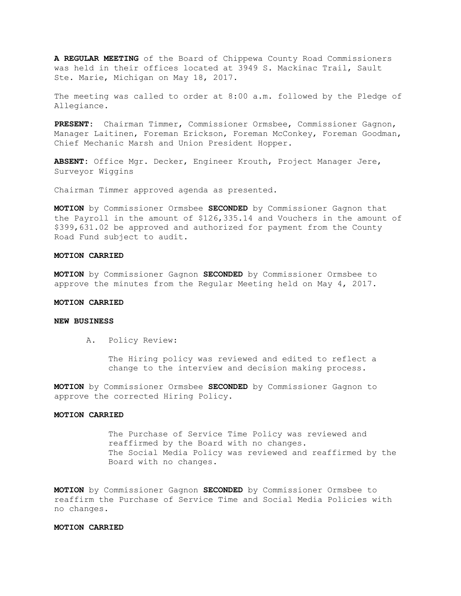**A REGULAR MEETING** of the Board of Chippewa County Road Commissioners was held in their offices located at 3949 S. Mackinac Trail, Sault Ste. Marie, Michigan on May 18, 2017.

The meeting was called to order at 8:00 a.m. followed by the Pledge of Allegiance.

**PRESENT:** Chairman Timmer, Commissioner Ormsbee, Commissioner Gagnon, Manager Laitinen, Foreman Erickson, Foreman McConkey, Foreman Goodman, Chief Mechanic Marsh and Union President Hopper.

**ABSENT:** Office Mgr. Decker, Engineer Krouth, Project Manager Jere, Surveyor Wiggins

Chairman Timmer approved agenda as presented.

**MOTION** by Commissioner Ormsbee **SECONDED** by Commissioner Gagnon that the Payroll in the amount of \$126,335.14 and Vouchers in the amount of \$399,631.02 be approved and authorized for payment from the County Road Fund subject to audit.

### **MOTION CARRIED**

**MOTION** by Commissioner Gagnon **SECONDED** by Commissioner Ormsbee to approve the minutes from the Regular Meeting held on May 4, 2017.

# **MOTION CARRIED**

### **NEW BUSINESS**

A. Policy Review:

The Hiring policy was reviewed and edited to reflect a change to the interview and decision making process.

**MOTION** by Commissioner Ormsbee **SECONDED** by Commissioner Gagnon to approve the corrected Hiring Policy.

### **MOTION CARRIED**

The Purchase of Service Time Policy was reviewed and reaffirmed by the Board with no changes. The Social Media Policy was reviewed and reaffirmed by the Board with no changes.

**MOTION** by Commissioner Gagnon **SECONDED** by Commissioner Ormsbee to reaffirm the Purchase of Service Time and Social Media Policies with no changes.

### **MOTION CARRIED**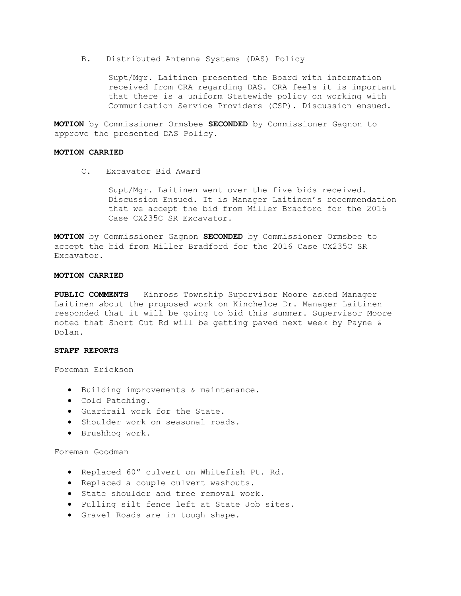B. Distributed Antenna Systems (DAS) Policy

 Supt/Mgr. Laitinen presented the Board with information received from CRA regarding DAS. CRA feels it is important that there is a uniform Statewide policy on working with Communication Service Providers (CSP). Discussion ensued.

**MOTION** by Commissioner Ormsbee **SECONDED** by Commissioner Gagnon to approve the presented DAS Policy.

### **MOTION CARRIED**

C. Excavator Bid Award

Supt/Mgr. Laitinen went over the five bids received. Discussion Ensued. It is Manager Laitinen's recommendation that we accept the bid from Miller Bradford for the 2016 Case CX235C SR Excavator.

**MOTION** by Commissioner Gagnon **SECONDED** by Commissioner Ormsbee to accept the bid from Miller Bradford for the 2016 Case CX235C SR Excavator.

#### **MOTION CARRIED**

**PUBLIC COMMENTS** Kinross Township Supervisor Moore asked Manager Laitinen about the proposed work on Kincheloe Dr. Manager Laitinen responded that it will be going to bid this summer. Supervisor Moore noted that Short Cut Rd will be getting paved next week by Payne & Dolan.

### **STAFF REPORTS**

Foreman Erickson

- Building improvements & maintenance.
- Cold Patching.
- Guardrail work for the State.
- Shoulder work on seasonal roads.
- Brushhog work.

# Foreman Goodman

- Replaced 60" culvert on Whitefish Pt. Rd.
- Replaced a couple culvert washouts.
- State shoulder and tree removal work.
- Pulling silt fence left at State Job sites.
- Gravel Roads are in tough shape.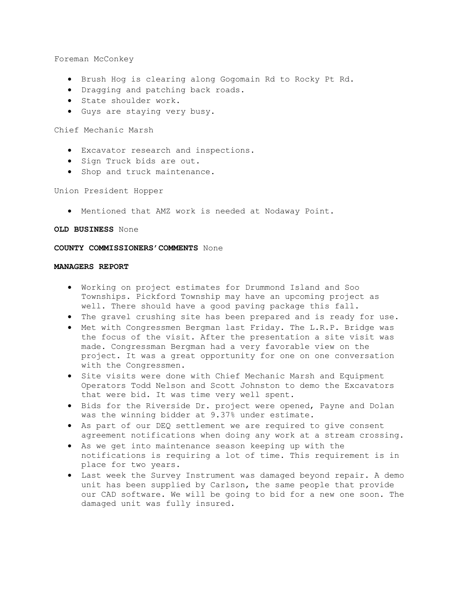Foreman McConkey

- Brush Hog is clearing along Gogomain Rd to Rocky Pt Rd.
- Dragging and patching back roads.
- State shoulder work.
- Guys are staying very busy.

Chief Mechanic Marsh

- Excavator research and inspections.
- Sign Truck bids are out.
- Shop and truck maintenance.

Union President Hopper

• Mentioned that AMZ work is needed at Nodaway Point.

### **OLD BUSINESS** None

# **COUNTY COMMISSIONERS'COMMENTS** None

### **MANAGERS REPORT**

- Working on project estimates for Drummond Island and Soo Townships. Pickford Township may have an upcoming project as well. There should have a good paving package this fall.
- The gravel crushing site has been prepared and is ready for use.
- Met with Congressmen Bergman last Friday. The L.R.P. Bridge was the focus of the visit. After the presentation a site visit was made. Congressman Bergman had a very favorable view on the project. It was a great opportunity for one on one conversation with the Congressmen.
- Site visits were done with Chief Mechanic Marsh and Equipment Operators Todd Nelson and Scott Johnston to demo the Excavators that were bid. It was time very well spent.
- Bids for the Riverside Dr. project were opened, Payne and Dolan was the winning bidder at 9.37% under estimate.
- As part of our DEQ settlement we are required to give consent agreement notifications when doing any work at a stream crossing.
- As we get into maintenance season keeping up with the notifications is requiring a lot of time. This requirement is in place for two years.
- Last week the Survey Instrument was damaged beyond repair. A demo unit has been supplied by Carlson, the same people that provide our CAD software. We will be going to bid for a new one soon. The damaged unit was fully insured.